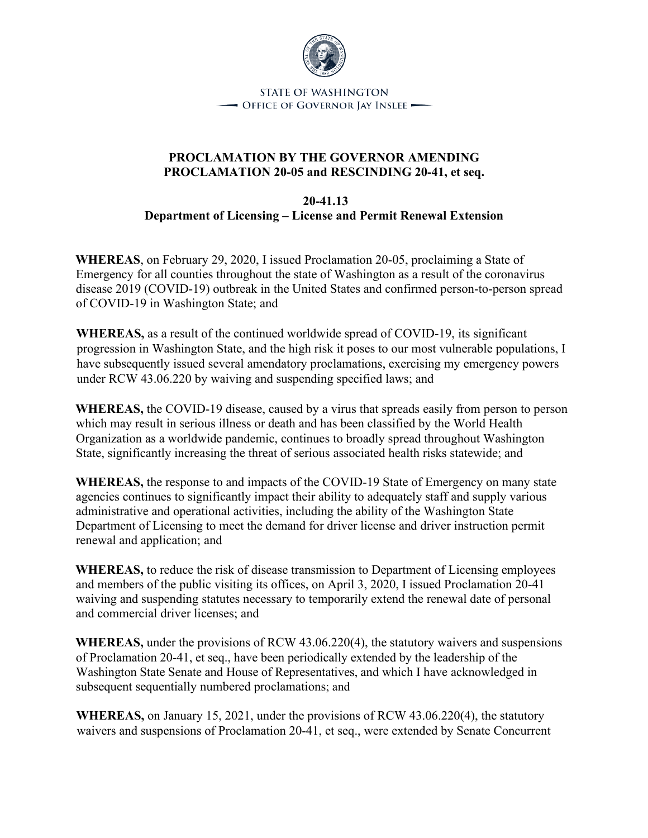

**STATE OF WASHINGTON** - OFFICE OF GOVERNOR JAY INSLEE

## **PROCLAMATION BY THE GOVERNOR AMENDING PROCLAMATION 20-05 and RESCINDING 20-41, et seq.**

## **20-41.13 Department of Licensing – License and Permit Renewal Extension**

**WHEREAS**, on February 29, 2020, I issued Proclamation 20-05, proclaiming a State of Emergency for all counties throughout the state of Washington as a result of the coronavirus disease 2019 (COVID-19) outbreak in the United States and confirmed person-to-person spread of COVID-19 in Washington State; and

**WHEREAS,** as a result of the continued worldwide spread of COVID-19, its significant progression in Washington State, and the high risk it poses to our most vulnerable populations, I have subsequently issued several amendatory proclamations, exercising my emergency powers under RCW 43.06.220 by waiving and suspending specified laws; and

**WHEREAS,** the COVID-19 disease, caused by a virus that spreads easily from person to person which may result in serious illness or death and has been classified by the World Health Organization as a worldwide pandemic, continues to broadly spread throughout Washington State, significantly increasing the threat of serious associated health risks statewide; and

**WHEREAS,** the response to and impacts of the COVID-19 State of Emergency on many state agencies continues to significantly impact their ability to adequately staff and supply various administrative and operational activities, including the ability of the Washington State Department of Licensing to meet the demand for driver license and driver instruction permit renewal and application; and

**WHEREAS,** to reduce the risk of disease transmission to Department of Licensing employees and members of the public visiting its offices, on April 3, 2020, I issued Proclamation 20-41 waiving and suspending statutes necessary to temporarily extend the renewal date of personal and commercial driver licenses; and

**WHEREAS,** under the provisions of RCW 43.06.220(4), the statutory waivers and suspensions of Proclamation 20-41, et seq., have been periodically extended by the leadership of the Washington State Senate and House of Representatives, and which I have acknowledged in subsequent sequentially numbered proclamations; and

**WHEREAS,** on January 15, 2021, under the provisions of RCW 43.06.220(4), the statutory waivers and suspensions of Proclamation 20-41, et seq., were extended by Senate Concurrent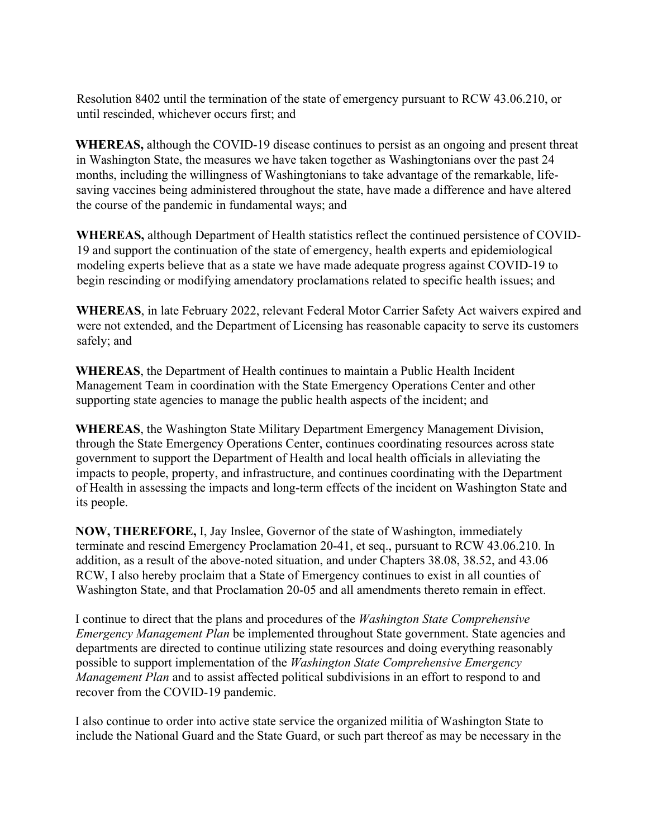Resolution 8402 until the termination of the state of emergency pursuant to RCW 43.06.210, or until rescinded, whichever occurs first; and

**WHEREAS,** although the COVID-19 disease continues to persist as an ongoing and present threat in Washington State, the measures we have taken together as Washingtonians over the past 24 months, including the willingness of Washingtonians to take advantage of the remarkable, lifesaving vaccines being administered throughout the state, have made a difference and have altered the course of the pandemic in fundamental ways; and

**WHEREAS,** although Department of Health statistics reflect the continued persistence of COVID-19 and support the continuation of the state of emergency, health experts and epidemiological modeling experts believe that as a state we have made adequate progress against COVID-19 to begin rescinding or modifying amendatory proclamations related to specific health issues; and

**WHEREAS**, in late February 2022, relevant Federal Motor Carrier Safety Act waivers expired and were not extended, and the Department of Licensing has reasonable capacity to serve its customers safely; and

**WHEREAS**, the Department of Health continues to maintain a Public Health Incident Management Team in coordination with the State Emergency Operations Center and other supporting state agencies to manage the public health aspects of the incident; and

**WHEREAS**, the Washington State Military Department Emergency Management Division, through the State Emergency Operations Center, continues coordinating resources across state government to support the Department of Health and local health officials in alleviating the impacts to people, property, and infrastructure, and continues coordinating with the Department of Health in assessing the impacts and long-term effects of the incident on Washington State and its people.

**NOW, THEREFORE,** I, Jay Inslee, Governor of the state of Washington, immediately terminate and rescind Emergency Proclamation 20-41, et seq., pursuant to RCW 43.06.210. In addition, as a result of the above-noted situation, and under Chapters 38.08, 38.52, and 43.06 RCW, I also hereby proclaim that a State of Emergency continues to exist in all counties of Washington State, and that Proclamation 20-05 and all amendments thereto remain in effect.

I continue to direct that the plans and procedures of the *Washington State Comprehensive Emergency Management Plan* be implemented throughout State government. State agencies and departments are directed to continue utilizing state resources and doing everything reasonably possible to support implementation of the *Washington State Comprehensive Emergency Management Plan* and to assist affected political subdivisions in an effort to respond to and recover from the COVID-19 pandemic.

I also continue to order into active state service the organized militia of Washington State to include the National Guard and the State Guard, or such part thereof as may be necessary in the